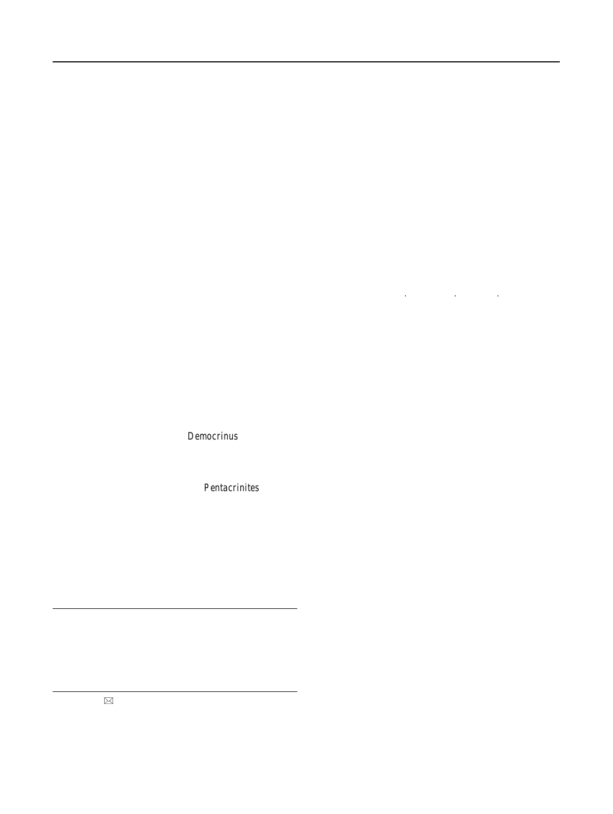# Stereom microstructure of columnal latera: a character for assessing phylogenetic relationships in articulate crinoids

Michael J. Simms

Received: 2 June 2010 / Accepted: 8 September 2010 / Published online: 2 December 2010 Akademie der Naturwissenschaften Schweiz (SCNAT) 2010

Abstract The stereom microstructure of columnal latera Keywords Crinoid Articulata Stereom Phylogenetics in various articulate crinoids is examined to ascertain its

potential application in phylogenetic studies. Most show

either a poorly ordered labyrinthic stereom or a more Introduction

regularly ordered perforate stereom with lumina arranged

in an en echelon pattern. Labyrinthic stereom is taxo-Crinoids have been a common and diverse element of the nomically widespread and is interpreted here as the plesmarine biota since the Ordovician, and indeed during the omorphic state. Perforate stereom, typically with an en Carboniferous and Permian appear to have exceeded the echelon arrangement of elliptical lumina, appears conÞnediversity of all other echinoderm taxa combined (Paul and to the Isocrinina and is considered to be apomorphic foSmith 1984. The complex multi-element skeleton of crithat group. The absence of any development of perforateoids, like other echinoderms, confers upon them a wealth stereom in the bourgueticriniiDemocrinus suggests that of morphological characters that have long formed the the bourgueticrinids have afÞnities with the comatulidsbasis for their taxonomic classiÞcation (e.g. Millta21). rather than with the isocrinids. A second type of perforateWith the almost universal acceptance of cladistics as a stereom, with sinuous or straight lines of circular to elon-more objective method of analysing the signiÞcance of gate lumina, has been found only **Pentacrinites and may** character distribution within living and fossil organisms, be autapomorphic for that group. The shape and spacing of reat steps have been made in the past three decades in stereom lumina on the columnal latera of different generaevising the systematics and reinterpreting the phylogenies of isocrinids displays minor variation that may have some of many taxonomic groups, among them the Crinoidea. At value for assessing phylogenetic afÞnity at genus andigher taxonomic levels, cladistic analysis clearly is a family level in taxa known only from columnals. powerful tool for establishing phylogenetic relationships

M. J. Simms  $[**✓**]$ 

National Museums Northern Ireland, Cultra,

although some degree of subjectivity inevitably arises from the identiÞcation and interpretation of morphological characters. In fossil organisms, where ontogenetic sequences are not available to check the development of a Most of the photographs of Lower Jurassic taxa were taken at the Particular character, it may prove difÞcult to ascertain if a particular character in one high level taxon is actually homologous with a similar character in another. Among the (1821). Not until the mid-1990s did a reappraisal of these homologies allow a radical departure from previous phylogenetic models for the Class (Simm<sup>994</sup>). However, SimmsÕ proposed homologies differ in part from those subsequently proposed by Ausich  $90$  and, with the

collections there but in some instances it has not been possible to Crinoidea interpretation of cup plating homology had remain precess, managed since the work are considered by remained virtually unchanged since the work of Miller Natural History Museum in London as part of my Ph.D. research between 1983 and 1986. These specimens are now held in the identify precisely which specimen was used; these are indicated by Ulster Museum (BELUM) and Muschelkalkmuseum IngelÞngen.

Holywood, Co. Down BT18 0EU, Northern Ireland, UK e-mail: michael.simms@magni.org.uk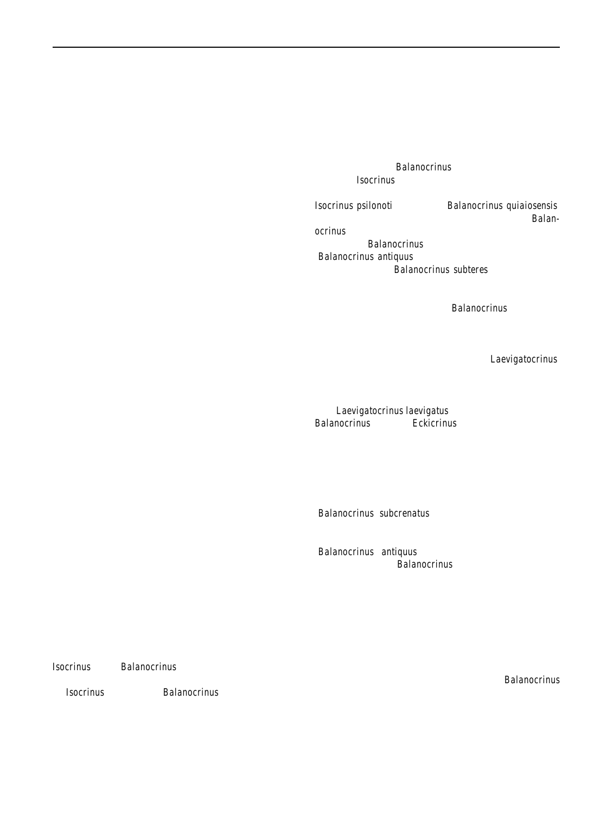limited ontogenetic data available for the cup in extinct be distinguished on morphometry and/or columnal shape taxa, the issue remains open to debate. and ornamentation. Both lineages show distinct trends in

Application of cladistic methodology to phylogenetic certain characters, which have been interpreted as heteranalysis within the Crinoidea is highly dependent on well-ochronous in origin (Simms 990). preserved specimens, those in which the state of numerous Although there is considerable justiÞcation for regarding morphological characters can be assessed and comparted members of each of these two parallel lineages as

with other taxa. Intact preservation of crinoids is notori-having ancestor-descendent relationships, the relationship ously subject to the vagaries of chance. After death, theetween the lineages is more conjectural. Simrte 86, multielement skeletons of crinoids disarticulate within 1988a argued thaBalanocrinus was a neotenous offshoot days, or even hours, as the soft tissues connecting theom the Isocrinus lineage. This was based on the morossicles decay (e.g. Donovan991). For most fossil cri- phological similarities between the stems of immature noids intact preservation was a consequence of obrutiofsocrinus psilonoti and matureBalanocrinus quiaiosensis, (Seilacher et al[.1985\)](#page-11-0)Ñthe near instantaneous burial and which he considered to be the earliest specie Badandeath by an inßux of sediment sufÞcient to exclude damagecrinus. However, columnal morphospecies nominally through subsequent scavenging or burrowing (Simmassigned toBalanocrinus do occur both earlier, such as 1986. This necessarily excludes those taxa that inhabite@alanocrinus antiquusÖ Loriol, from the Hettangian, and environments less prone to such obrutional events. Indeethter, for instanceBalanocrinus subteres (Munster), from many post-Palaeozoic crinoid species have been describede Upper Jurassic. Both Roux (31) and Klikushin [\(1982\)](#page-10-0) on the basis only of dissociated remains, particularly col-recognised the Balanocrininae as a subfamily of the Isocumnals. These columnals may be distinctive and characrinidae to which they assignedalanocrinus and several teristic at particular stratigraphic levels, but incompleteother genera. They considered this clade to have diverged knowledge of other aspects of the morphology of theserom other isocrinids in the Triassic and persisted to at least species excludes many of them from cladistic analysis. the early Neogene. SpeciÞcally, Klikushin 979b 1982

Cladistic methodology clearly is the best approach forlinked the origins of the Balanocrininae **ta**evigatocrinus, inferring phylogenetic relationships at high taxonomic an Early Carnian (Upper Triassic) genus to which he levels, but at lower taxonomic levels, such as species cassigned several species. However, Hagdorn (this volume) genus, it is less useful. Taxonomic distinctions at these lowestricts this genus to just the highly distinctive type spelevels commonly are based on relatively minor, qualitative cies,Laevigatocrinus laevigatus, assigning other species to and readily reversible, character changes such as the Balanocrinus s.l. or toEckicrinus.

ornamentation, shape or number of elements, rather than on Among isocrinids, homeomorphy probably is very the clearly deÞned presence or absence of a speciÞc chaommon. Only a limited range of basic columnal moracter. At low taxonomic levels, a more pragmatic approachphologies is possible, e.g., circular, pentagonal, stellate, so may be adopted for inferring phylogenetic relationships, that broad similarities of columnal shape alone cannot be based on the morphological similarity of those charactersonsidered a sound basis for considering close phylogeavailable coupled with stratigraphic proximity. In many netic relationship between species. The Late Triassic cases, the evidence suggests that the fossil record for **C**alanocrinus Osubcrenatus is known only from columnals, particular group during a given time interval is much more with nothing known of the crown, and is separated from complete than is generally assumed (Pa008), allowing evolutionary relationships to be inferred with some conÞ-ÔBalanocrinusÕantiquus) or the better documented Early dence (e.g. Howarth958 Simms[1989a\)](#page-11-0). Where crinoid Jurassic species dJalanocrinus (Simms1989a by more diversity was relatively low, as in the Hettangian to Pli-than 20 million years. This considerable time gap does not ensbachian (Lower Jurassic) of north-west Europe, a corpreclude a direct phylogenetic relationship between these tinuous stratigraphic series of morphologically similar taxataxa but, with so little known about their morphology, it are more likely to represent an evolving lineage of species might appear difÞcult to establish whether or not there is than a disjunct series of taxa that were unconnected ba close phylogenetic link between them. Are these older direct ancestor-descendent relationships. This certainlgnd/or younger taxa actually representatives of the wellwould appear to be the case for two groups of isocrinidsdocumented SinemurianĐPliensbachian lineage or are they Isocrinus and Balanocrinus, from the Early Jurassic homeomorphs that arose from an isocrinid ancestor inde-(Simms[1988a](#page-11-0) [1989a\)](#page-11-0). Of the eight species involved, three pendently of the SinemurianÐPliensbach Parlanocrinus of Isocrinus and Þve ofBalanocrinus, three are known lineage in question. How might this question be resolved in almost exclusively from columnals and for one the crown the face of the very limited morphological data available is entirely unknown. However, based on pluricolumnals for some of these nominal taxa? What is needed is some alone, stratigraphically successive taxa are similar but canharacter that can be recognised even in isolated any broadly similar younger columnals (e.g. LoriolÕs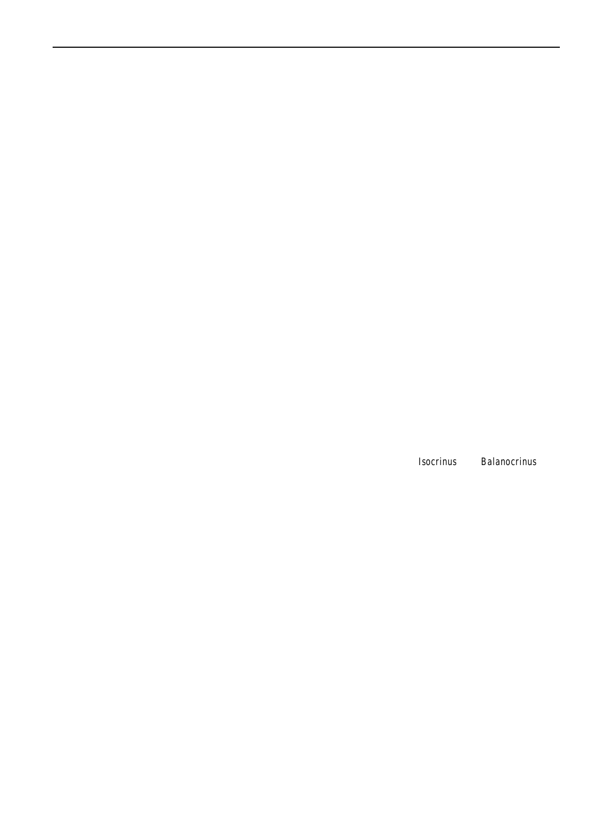columnals, a character that is inherent to all of them, andunctional aspects of the stereom being examined. As such, that reßects phylogenetic relationships more closely thathe stereom morphology they described is more likely to functional or ecophenotypic constraints. reßect function than phylogeny.

Stereom microstructure of columnals: background to the research

Consideration of crinoid columnals suggests that although the morphology of articulating surfaces may be strongly inßuenced by mechanical constraints, this is less likely to be the case for columnal latera. Columnal latera among isocrinids may be variously ornamented with small

One of the fundamental characters that deÞnes the Phylutubercles or ridges but in the majority of taxa the latera are Echinodermata is the possession of a multi-element endosmooth at the macroscopic scale. Although enveloped by a skeleton composed of high-magnesium calcite ossiclethin tissue layer, the columnal outer surface does not serve with a stereom microstructure, an orderly or labyrinthinefor the attachment of motile tissue and hence is not subject network of cavities permeated with soft tissue termedto the more obvious functional constraints imposed on stroma. Each ossicle is formed of an optically continuousarticula. Clearly the latera are not entirely OfunctionlessO, as crystal of calcite, a readily cleaved mineral, with the ste-they represent an interface between the exterior and interior reom/stroma composite imparting a much greater strengtbf the columnal and must maintain the structural integrity to what is an inherently brittle material. Additional of the columnal as a whole. However, such constraints are advantages to the organism conferred by this stereom mechanically less demanding than those imposed on structure include a reduction in energy required for thearticula and hence characteristics of the stereom microbiomineralisation process; a skeletal density signiÞcantlystructure might more clearly reßect underlying phylogelower than if the ossicles were solid calcite; and the pro-netic factors. Despite the plethora of papers dealing with vision of a vast range of attachment points for soft tissues unctional and ontogenetic aspects of crinoid articular

Variation in stereom morphology has been recognisedtereom, the possible phylogenetic signiÞcance of any for more than a century and a half (see Smith680 for early references) but it is only since the 1970s that anyhas not previously been addressed other than very brießy detailed investigation has been undertaken of this variatioby Gluchowski [\(1982](#page-10-0)) and by Simms [\(1985,](#page-11-0) 1988a and its possible signiÞcance. Crinoids Þgured prominently 989a. From a limited survey of taxa undertaken in conin some of these early investigations, with papers byjunction with wider research on Lower Jurassic crinoids, Edward Gluchowski, Vladimir Klikushin, Brad Macurda, Simms [\(1985](#page-11-0) [1988a\)](#page-11-0)suggested that the pattern of lumina Dave Meyer and Michel Roux (Gluchowsk082 Kliku-shin [1979a](#page-10-0) Macurda and Meye[r1975;](#page-10-0) Macurda et al. 1978 Macurda and Roux 981; Roux [1970,](#page-10-0) [1975](#page-10-0), [1977,](#page-10-0) [1981\)](#page-11-0). Echinoids are the other extant echinoderm class incurrent study is intended to pursue this investigation further which the stereom microstructure has been investigated iand to assess at what taxonomic level this particular detail, with the substantial work of Andrew Smith being character might be useful. Can it be used as a tool to particularly important here (Smith980). Interest in this establish the degree of phylogenetic relationship between Þeld might seem to have waned subsequently but in fact morphologically similar columnals at widely separate aspects of what was learned in the 1970s and 1980s astratigraphic levels or does it reßect relationships at only now routinely applied to the interpretation of extinct very high taxonomic levels and therefore has only limited echinoderms (e.g. Clausen and Sm[2005](#page-10-0) [2008\)](#page-10-0). similarities or differences in the stereom of crinoid latera in the stereom of columnal latera was signiÞcant at the family level and indicated a close phylogenetic relationship between Early Jurassilsocrinus and Balanocrinus. The utility? Ideally such a study would examine the micro-

The biometric studies undertaken by Roux (RduX<sup>7</sup>0 1975 Macurda and Roux<sup>1</sup> 981) focused on aspects of the extant but, in this instance, I have been constrained both by growth of the stereom, particularly on the articula of cri-availability of material and by access to a scanning electron noid columnals, and its potential implications in terms of microscope (SEM). The high level taxonomy of the crifunction and taxonomy. Other papers (e.g. Macurda andoids referred to in this account follows that of Simms Meyer [1975](#page-10-0); Macurda and Roux 981) looked more widely et al. [\(1993](#page-11-0)). structure of a large sample of crinoid taxa, both fossil and

at other parts of the crinoid endoskeleton, such as cirri,

brachials and cup plates. SmithÕs work (Smithald was

particularly signiÞcant in identifying the relationship Materials and methods

between stereom morphology and associated tissues and,

although based on echinoids, has relevance across therange of fossil and recent articulate crinoid material has entire Class. All of these papers focused largely on articbeen examined for this study. The fossil columnals ulation or attachment surfaces and accordingly stressed thexamined were from various stratigraphic levels, in the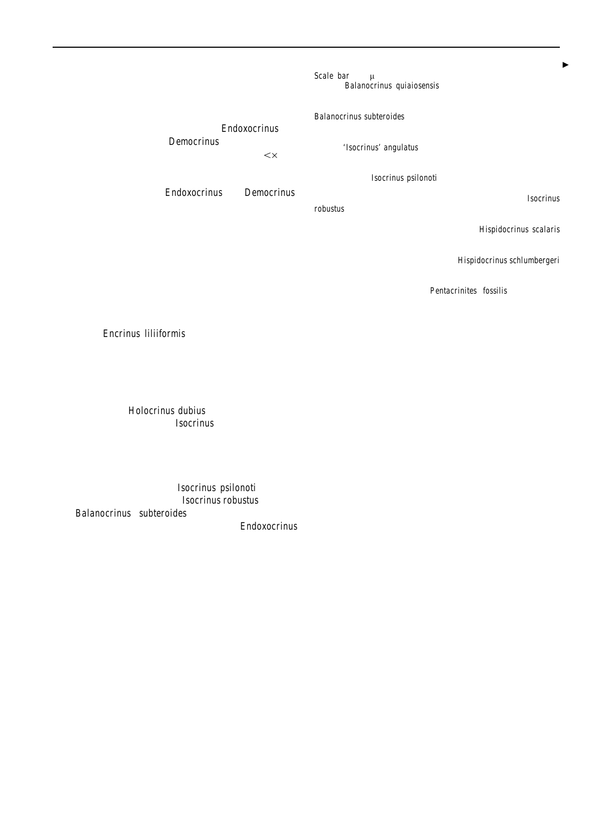<span id="page-3-0"></span>Carnian to Rhaetian stages of the Triassic and the HeFig. 1 All Þgures are of columnal latera unless otherwise indicated. tangian to Toarcian stages of the Jurassic, and theycale bar 100 µm. a En echelon perforate stereom with elliptical examined; two species of the isocrinidedoxocrinus and one of the bourgueticrinidDemocrinus. All of the specimens were examined at relatively low power  $\times$  400) London, and QueenÕs University Belfast.

The recent material, oEndoxocrinus and Democrinus.

encompass various taxa within the families Encrinidae and himina. Balanocrinus quiaiosensis de Loriol. Jurassic, Sinemurian, Pentacrinitidae, the Suborder Isocrinina, and the Orderland. BM. b En echelon perforate stereom with elliptical lumina. Millericrinida. Three extant articulate crinoids were also Balanocrinus subteroides (Quenstedt). Jurassic, Pliensbachian, Charusing SEM facilities at the Natural History Museum, K2010.4. d En echelon perforate stereom with elliptical lumina, Charmouth Mudstone Formation, Quedgeley, Gloucestershire, Engmouth Mudstone Formation, Blockley, Gloucestershire, England. BM E70552. c En echelon perforate stereom with weakly elliptical lumina.'Isocrinus' angulatus (Oppel). Jurassic, Hettangian, Waterloo Mudstone Formation, Larne, Co. Antrim, Northern Ireland. BELUM slightly etched.Isocrinus psilonoti (Quenstedt). Jurassic, Hettangian, Blue Lias Formation, Tewkesbury, Gloucestershire, England. BM.

> umnal latera encountered during this study commonly differs from that described by Smith  $( 980)$  in having markedly elliptical pores arranged in an en echelon pattern, a conÞguration termed here Ôen echelon perforate stereomÕ.

is very well preserved and provides an invaluable com<sub>robustus</sub> (Wright). Jurassic, Pliensbachian, Charmouth Mudstone parison against which to judge fossil preservation. PreseFormation, Scunthorpe, Humberside, England. BMEn echelon vation can be a major limitation to any study of the perforate stereom with near circular lumindispidocrinus scalaris columnal microstructure in fossil material. On a macro (Goldfuss). Jurassic, Sinemurian, Charmouth Mudstone Formation, scale, preservation can appear very good, but syntaxial reformate stereom with elliptical luminalispidocrinus schlumbergeri overgrowth of the microstructure can partly or completely (de Loriol). Jurassic, Sinemurian, Charmouth Mudstone Formation, Þll stereom pore space. This is more likely to occur in Charmouth, Dorset, England. BMh Sinuous perforate stereom with carbonate-rich successions rather than in mudstone collectional lumina. Pentacrinites fossilis Blumenbach. sequences, as observed by Klikushin 979a and Gluchowski [\(1982](#page-10-0)), and would appear to be the case for the e En echelon perforate stereom with elliptical luminisocrinus Bishops Cleeve, Gloucestershire, England. BM. En echelon Jurassic, Sinemurian, Charmouth Mudstone Formation, Charmouth, Dorset, England. BM

samples of Encrinus liliiformis that were examined. The stereom, labyrinthic (e.g. Figed) and perforate (e.g. columnal latera of these showed a fairly smooth surfaceig. 1e), were recognised on columnal latera. These can be lacking any distinct lumina. Columnals may also experi-described as follows, based on the descriptions of Smith ence post-burial etching which can remove the surface of 1980 and observations made during this study: the latera to an unknown depth and preferentially etch

cleavage planes near the surface. This clearly has occurred by rinthic stereom

in the samples of Holocrinus dubius (Fig.  $3c$ , d) and even

more so in the columnals disocrinus sp. from Kardolina (Fig. [3](#page-6-0)e, f). Lumina are developed on the latera of thesetangle of trabeculae which may range from a coarse open etched columnals but it is unclear to what extent thesetructure to a Þner, more compact, arrangement. The shape reßect the original surface conÞguration of the latera oand arrangement of pores is difÞcult to deÞne as this type might be an artifact of etching. Relatively minor etching is of stereom never forms a planar surface. This forms a completely unorganised three-dimensional

apparent in the specimen  $M_0$  or inus psilonoti (Fig. [2d](#page-5-0))

while other specimens, such **as** extending robustus (Fig.  $2e$  $2e$ ) and Balanocrinus subteroides (Fig. [2b](#page-5-0)), appear little

modiÞed by comparison with the Recelandoxocrinus (Fig. [2](#page-5-0)a, b). Twenty-six samples were examined from thicker than the maximum diameter of the small circular different stratigraphic levels and/or localities, with each pores which penetrate it. He distinguished simple from sample comprising between one and three specimenisregular perforate stereom on the basis of its cross-Seven of these proved too poorly preserved, either througsectional structure, but such a division cannot be applied in excessive etching or syntaxial overgrowth, to bethis study which has examined only the surface conÞguinformative. Smith [\(1980](#page-11-0)) described this as forming layers usually ration of the stereom. Perforate stereom of crinoid col-

#### **Observations**

Perforate stereom

Andrew Smith [\(1980\)](#page-11-0), in his seminal work on echinoderm microstructure, deÞned ten types of stereom fabric on thetereom lumina across the latera of individual columnals basis of its three dimensional conÞguration of pores an fig. [3a](#page-6-0)) but this appears relatively minor compared with trabeculae. About half of these occur widely in different the differences that are seen between different taxa. Perparts of the crinoid endoskeleton but within the relatively forate stereom appears conÞned to representatives of the small sample size available for this study just two types offsocrinina and exhibits a modest range of patterns of There is some variation in the shape and conÞguration of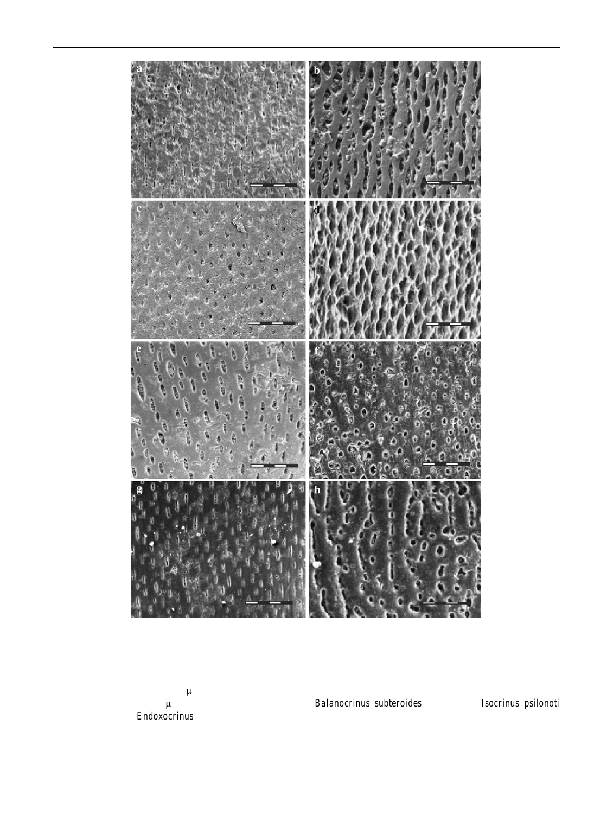

stereom lumina on the columnal latera (Fi[g](#page-3-0)aDg2a, b, e, f). The most commonly encountered arrangement consists **s**mooth unperforated calcite. Among some of the Early an en echelon pattern of elliptical to lanceolate lumina. Jurassic isocrinids the lumina account for a much greater Lumina typically are c.10Đ20m wide, with the more proportion of the surface, perhaps 35Đ40% in the case of elongate ones up to c.40m long. This pattern is seen Balanocrinus subteroides (Fig. [1b](#page-3-0)) or Isocrinus psilonoti in both species ofEndoxocrinus (Fig. [2](#page-5-0)a, b), the extant (Fig. [1](#page-3-0)d). An intermediate pattern of en echelon elliptical isocrinid genus examined, where lumina account for about lanceolate lumina is seen also in some of the other Early 15Ð20% of the lateral surface and are separated by areas of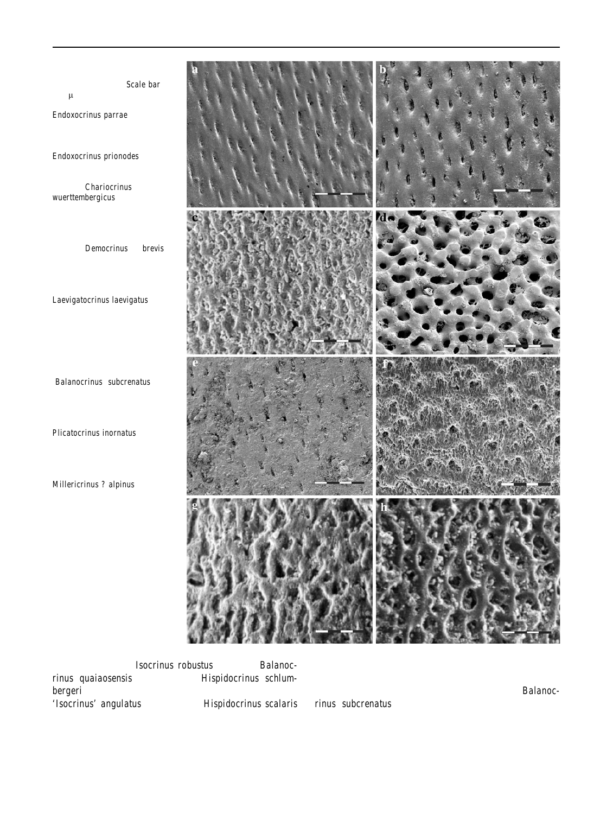<span id="page-5-0"></span>Fig. 2 All Þgures are of columnal latera unless otherwise indicatedScale bar  $100 \mu m$ . a En echelon perforate stereom with elliptical lumina. Endoxocrinus parrae (Gervais). Recent. BELUM K2010.1.2. b En echelon perforate stereom with elliptical lumina. Endoxocrinus prionodes H.L. Clark. Recent BELUM K2010.2.2.c ?Labyrinthic stereom.Chariocrinus wuerttembergicus (Oppel). Jurassic, Toarcian, Whitby Mudstone Formation, Cleeve Hill, Gloucestershire, England. BM E70412.d Labyrinthic stereom.Democrinus cf. brevis. Recent. BELUM K2010.3.2. e En echelon perforate stereom with very small, widely spaced elliptical lumina. Laevigatocrinus laevigatus (Munster). Triassic, Carnian, Cassian Formation, Cion del Coute, Italy. Muschelkalkmuseum IngelÞngenf En echelon perforate stereom with weakly elliptical lumina. ÔBalanocrinusÕsubcrenatus (Munster). Triassic, Carnian, Cassian Formation, St Cassian, Italy. BMNH E67484 g. Labyrinthic stereom. Plicatocrinus inornatus Simms. Jurassic, Toarcian, Beacon Limestone Formation, Watton Cliff, Dorset, England. BM E70612.h Labyrinthic stereom. Millericrinus ? alpinus (Gumbel). Jurassic, Toarcian, Marlstone Rock Formation, Thorncombe Beacon, Dorset,

England. BM E70515



Jurassic isocrinids<sup>Isocrinus</sup> robustus (Fig. [1](#page-3-0)e), Balanocrinus quaiaosensis (Fig. [1a](#page-3-0)) and Hispidocrinus schlum-bergeri (Fig. [1f](#page-3-0)). Two other Early Jurassic species, of the surface. Columnals of the Late TriassBalanoc-'Isocrinus' angulatus (Fig. [1](#page-3-0)c) andHispidocrinus scalaris

(Fig. [1](#page-3-0)g), show a pattern of very weakly elliptical or near appear to show a similar arrangement and coverage. En circular lumina that is more typical of the perforate echelon lumina are also seen in the late Triassic stereom described by Smith (880). These too are arranged en echelon on a smooth surface but cover only about 15% rinusÕsubcrenatus (Fig. 2f) are rather poorly preserved but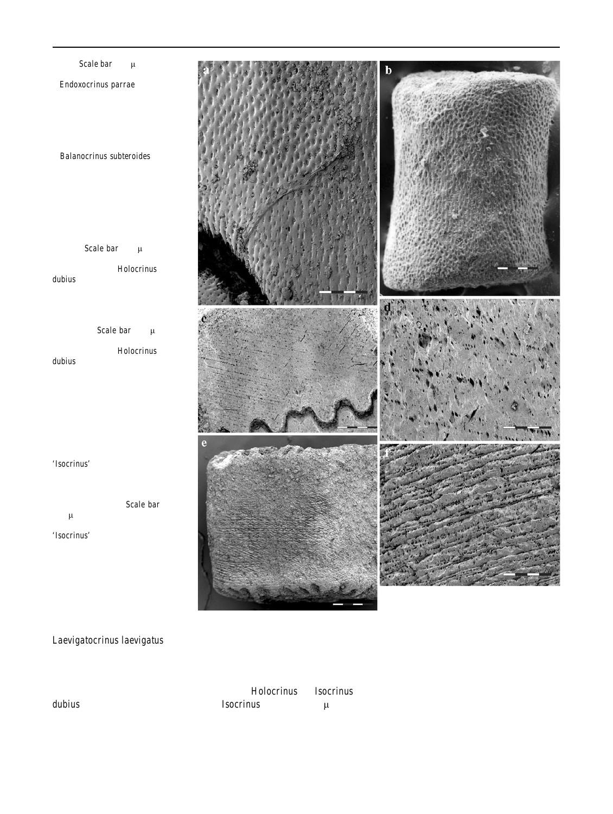<span id="page-6-0"></span>Fig. 3 Scale bar  $100 \mu m$  unless indicated otherwise a Endoxocrinus parrae (Gervais). Recent. Detail of nodal columnal adjacent to cirral scar, showing minor variation in conÞguration of en echelon perforate stereom structure. BELUM K2010.1.2. b Balanocrinus subteroides (Quenstedt). Jurassic, Pliensbachian, Charmouth Mudstone Formation, Blockley, Gloucestershire, England. Columnal of pentacrinoid larva, with synarthrial articula, showing both labyrinthic and en echelon perforate stereom. BM  $E70553$ . Scale bar 150  $\mu$ m. c Etched cleavage planes on columnal latus ofHolocrinus dubius (Goldfuss). Triassic, Anisian, Jena Formation, Oberer Wellenkalk, Rittersdorf, Thuringia, Germany. Muschelkalkmuseum IngelÞngenScale bar 400 µm. d Etched cleavage planes on columnal latus ofHolocrinus dubius (Goldfuss) showing development along them of lumina (?preservational artifacts). Triassic, Anisian, Jena Formation, Oberer Wellenkalk, Rittersdorf, Thuringia, Germany. Muschelkalkmuseum IngelÞngen.e Etched cleavage planes on columnal latus of 'Isocrinus' sp. Triassic, Rhaetian, Fatra Formation, Tatra Mountains, Slovakia. BELUM K2010.5.2. (from Peter Ledvak Collection). Scale bar 400 um. f Etched cleavage planes on columnal latus of 'Isocrinus' sp. Triassic, Rhaetian, Fatra Formation, Tatra Mountains, Slovakia. BELUM K2010.5.2. (from Peter Ledvak Collection)



Laevigatocrinus laevigatus (Fig. [2e](#page-5-0)) but in this species, the latera that closely resembles that seen in the well-preserved lumina account for considerably less than 10% of theisocrinid material already described. In both of these taxa, surface area, a Þgure signiÞcantly lower than in the othethe lanceolate lumina on these etched surfaces are signiÞisocrinids examined. cantly smaller than in other taxa examined, with those in

Two of the taxa examined, the Mid-Triassilibolocrinus dubius (Fig. 3c, d) and the Late Triassis ocrinus sp. from Kardolina (Fig.3e, f), are signiÞcantly etched but, none-etched cleavage planes that cut through the columnals at a theless, show an apparent arrangement of lumina on thew angle (c.30 from horizontal). The main distinction Isocrinus sp. (Kardolina) being especially tiny at barely  $5 \mu m$  across. These lumina are arranged en echelon along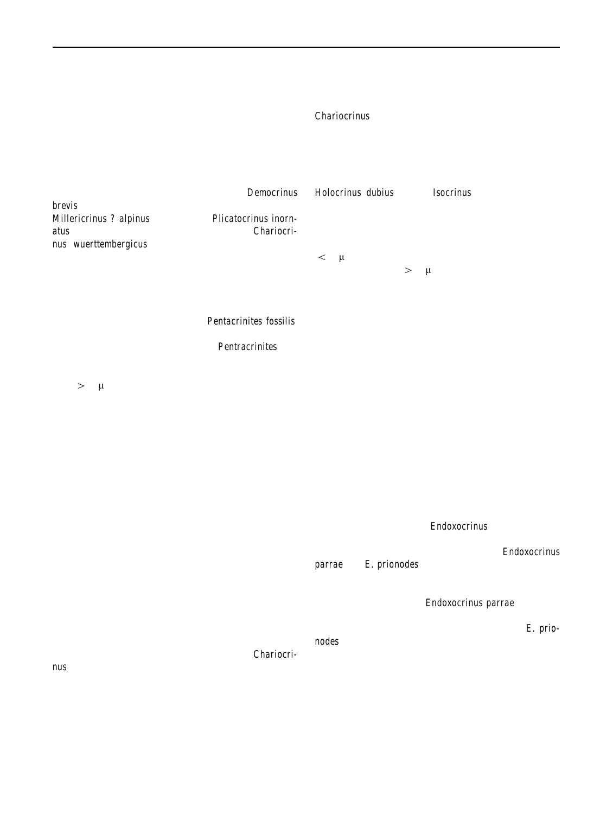between these and the en echelon patterns on the oth**eerforate stereom**, in which the circular to elliptical lumina columnals described is their relatively low angle comparedare arranged in a moderately to steeply en echelon conwith the much more steeply en echelon patterns (c.75Đ8Φguration, is found among most of the isocrinids with the from horizontal) seen on the other columnals. This, togeapparent exception in this sample of the Early Jurassic ther with their anomalously small size, suggests that the Chariocrinus. Smith [\(1980\)](#page-11-0) described perforate stereom as may be preservational artifacts rather than primary forming during periods of slow stereom growth, with features. denser inner and outer layers providing resistance to

Of the other taxa examined most have what appears tbending stresses and protection against abrasion. The be a rather random stereom arrangement that conformaresence of small en echelon lumina aligned along low with SmithÕs 1(980) description of labyrinthic stereom. angle cleavage planes on the latera of etched columnals of These taxa include the extant bourqueticrinum Democrinus brevis (Fig. [2](#page-5-0)d), the Early Jurassic millericrinids (s.l.) Millericrinus ? alpinus (Fig. [2h](#page-5-0)) and Plicatocrinus inorn-atus (Fig. [2g](#page-5-0)), and the Early Jurassic isocrind ariocri-nus wuerttembergicus (Fig. [2](#page-5-0)c). The surfaces between and spacing of the lumina on the etched columnals lumina on these columnals are generally irregular and not < 10 µm across), compared with those on well-preserved smooth as in the isocrinids described earlier, an observatiocolumnals (typically>15  $\mu$ m), suggests that those on the consistent with SmithÖs statement that this type of stereoatched columnals are a preservational artifact. Further work never forms a planar surface. Holocrinus dubius and of Isocrinus sp. from Kardolina suggests that the en echelon conÞguration seen in wellpreserved columnals might perhaps reßect underlying cleavage planes. However, the signiÞcantly smaller size would be needed to ascertain if the conÞguration of ste-

The Pnal stereom arrangement has, so far, beereom lumina on isocrinid columnal latera actually reßects observed only in the Early Jurass Pentacrinites fossilis, any underlying structural control.

representative of a clade considered to have a sister group

relationship to the comatulids s.l. IPentracrinites, the Phylogenetic aspects

latera appear to be formed of perforate stereom in which

lumina are circular to highly elongate ellipses, in someSmith [\(1980](#page-11-0)) noted that some stereom arrays were cases>50 µm long, arranged in straight to gently sinuous restricted to particular echinoid orders, implying phylogediscontinuous rows separated by gently convex raised areastic as well as ontogenetic and functional controls. Glu-(Fig. [1](#page-3-0)h).

Interpretation

Function and development of lateral stereom

chowski [\(1982\)](#page-10-0) also suggested that certain types of lateral stereom with large pores might have some phylogenetic signiÞcance. The present study indicates that the stereom of columnal latera is indeed signiÞcant for crude discrimination at high taxonomic levels, but might it also be used as a discriminant at lower levels?

The latera of crinoid columnals represents an interface Species-level discrimination between the animal and its external environment. A thin

layer of tissue separates the solid material of the columnaThe two extant species dendoxocrinus examined might from the environment and hence the lumina seen on thbe expected to show very closely similar lateral stereom, latera probably serve as points of connection between thearticularly considering suggestions that hdoxocrinus external tissue and the internal stroma. For this reasoparrae and E. prionodes may even be conspeciÞc (Meyer alone it seems likely that most, if not all, crinoid columnals et al. [1978](#page-10-0) Oji [1990](#page-10-0). Both have the typical en echelon will have abundant lumina on the latera and that their perforate stereom seen widely in isocrinids, but they are absence in fossil material is an artifact of preservation. Theertainly not identical. IrEndoxocrinus parrae, there is a proportion of pore space for a given area of latus may alsooticably sharper demarcation between the stereom lumina be inßuenced by this requirement of connectivity betweerand the intervening planar areas than is seeff.imeriothe interior and the exterior of the columnal. nodes, where instead the transition from the edges of the

In non-isocrinid crinoids, and the isocrinidhariocri-nus, the columnal latera are constructed of labyrinthicmore rounded (Fig2a, b). Oji [\(1990\)](#page-10-0) suggested that the stereom. Smith (980) found labyrinthic stereom to occur macroscopic differences between these two species very widely and to be associated with all types of tissue. Heeßected ecophenotypic variation linked to habitat depth. also noted that commonly it was associated with moderat The stereom differences may also perhaps be a conseto fast stereom growth and that a reduction in growth ratequence of these habitat differences but alternatively it may could lead to the development of perforate stereomindicate that the two are in fact separate species after all. lumina to the intervening planar surface is signiÞcantly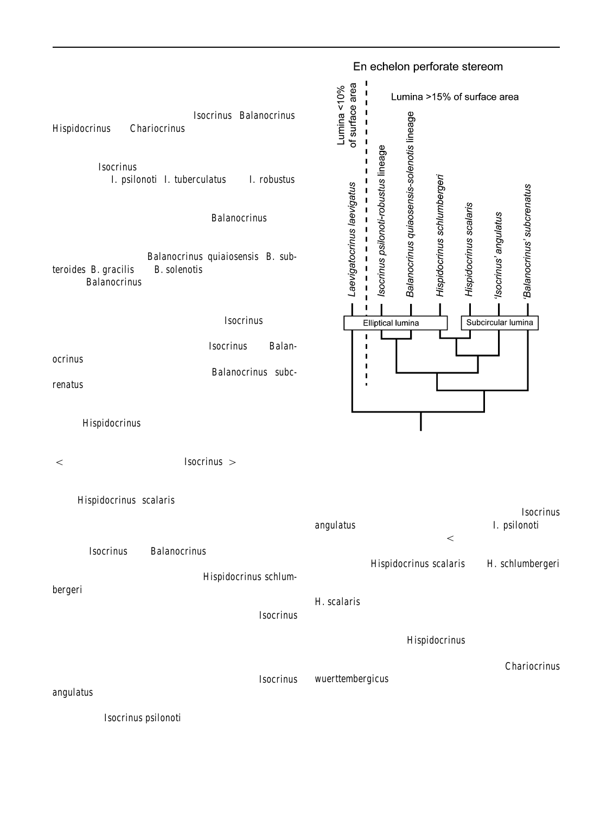Genus and family level discrimination in Early Jurassic isocrinids

Among Early Jurassic isocrinids encountered in north-west Europe several discrete genera periodiscinus, Balanocrinus, Hispidocrinus andChariocrinus, can be recognised (Simms [1988a](#page-11-0), [1989a](#page-11-0)). Stratigraphic and morphologic criteria indicate ancestorDdescendant relationships between three species offsocrinus spanning the Hettangian to Pliensbachian stages<sub>I</sub>. psilonoti, I. tuberculatus and I. robustus. Several other species were assigned to the genus, althoughwith less certainty about their relationship to this Öcentral lineage. A second lineage, assigne **Balanocrinus**, shows similar strong evidence for ancestorDdescendant relationships between four species spanning the Sinemurian Pliensbachian stage Salanocrinus quiaiosensis, B. subteroides, B. gracilis andB. solenotis. It had been suggested that theBalanocrinus lineage could be traced back into the Late Triassic (Klikushi[n1979b,](#page-10-0) [1982\)](#page-10-0), but Simms 1985 [1988a\)](#page-11-0) suggested, on morphological grounds, that it arose as a neotenous offshoot from the Ocentral Quinte lineage. In support of this, there is a close similarity between the lateral stereom of the Early Jurassiccrinus and Balanocrinus (Fig. [1](#page-3-0)b, d). This is distinct from the conÞguration seen in the Late Triassic (Carnian) a **Q**anocrinus Õsubcrenatus, where the lumina are almost circular and widely spaced (Figs $2f$ , 4).

Two other Early Jurassic species are assigned to a thir genus,Hispidocrinus, on account of their distinctive morphology, with markedly stellate columnals bearing rela-

tively small cirral scars and with relatively short noditaxes Fig. 4 Cladogram showing relationship between various Late Trias- $(<8$  columnals) compared withsocrinus ( $>12$  columnals). The relationship of this genus to other isocrinids in the sic and Early Jurassic crinoid species and species groups, as inferred from the shape and area of stereom lumina on columnal latera

Early Jurassic or Late Triassic is unclear. In the type species, Hispidocrinus scalaris, the stereom on columnal

latera is of classic perforate type, with near circular luminarevealed that these two taxa are not conspediberinus (Fig. [1](#page-3-0)f) arranged en echelon and separated by planangulatus never attains the large size of psilonoti, has intervening areas. This arrangement is different from Earlyconsistently shorter noditaxes o columnals) and a more JurassicIsocrinus and Balanocrinus in which the lumina are markedly elliptical (Fig[.1a](#page-3-0), b, d, e). However, its putative Early Jurassic descendalitspidocrinus schlum-bergeri (Fig. [1](#page-3-0)g), has lateral stereom that more closelylumina on columnal latera (Figlc) is more reminiscent of resembles these genera  $(F_4)$ , perhaps indicating a reversion back to the pattern seen in the centreat rinus lineage. markedly stellate columnal outline. In this respect, it is not dissimilar toHispidocrinus scalaris andH. schlumbergeri and, intriguingly, the shape and conÞguration of stereom H. scalaris (Fig. [1](#page-3-0)f) than of other Early Jurassic isocrinids. Morphometric analysis of this species has yet to be undertaken but this observation suggests that its afÞnities

Another isocrinid has recently been recognised as a may perhaps lie withHispidocrinus (Fig. 4). distinct species in the latest Triassic (Rhaetian) and earliest Of the Early Jurassic isocrinids examined for this study, Jurassic (Hettangian) in north-west Europe. This was Þœne stands out as being anomalous. Thi£liariocrinus ured in the 19th Century (Loriol 884D89 as Isocrinus angulatus, although the original name was a nomen nudum British Toarcian. Unlike all of the other isocrinids exam-(Oppel1856 $D$ 58 It was dismissed by Simms  $$989$ a as a synonym ofIsocrinus psilonoti but abundant new material, species appears to have lateral stereom with a structure albeit disarticulated, from the basal Hettangian Stage hasnore akin to unordered labyrinthic stereom ([Fig](#page-5-0).). wuerttembergicus, a small isocrinid that is common in the ined, which have perforate stereom on columnal latera, this

## En echelon perforate stereom

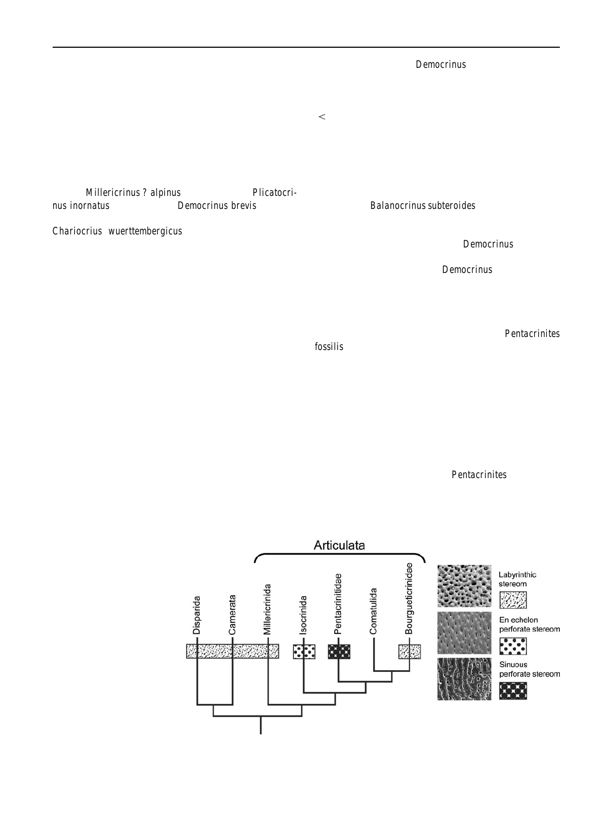#### High-level discrimination

columnal latera stereom

structure

stereom on the latera **M**emocrinus columnals, although a plesiomorphic trait, is nonetheless signiÞcant for resolving

The distinction, based on the lateral stereom, between mothis issue. Both comatulids and isocrinids pass through a of the isocrinids examined and the non-isocrinids has alread $\tilde{\phi}$ pentacrinoidÖ larval stage in which they possess a tiny been alluded to, with most of the former possessing perforate<1 mm diameter) stem with bifascial synarthrial articula stereom and the latter labyrinthic stereom. However, otheand hence, on the grounds of columnal morphology alone, macroscopic characters can generally be used to identifyhe bourgueticrinids could have evolved from either group phylogenetic afÞnities at this high level without relying on (Simms1988t). In comatulids, the stem is lost as the centhis character alone. Labyrinthic stereom has been identiÞetodorsal develops while in isocrinids continued growth of on the columnal latera of representatives of four high levethe stem leads to the development of typical symplectial taxa; inMillericrinus ? alpinus (Millericrinina), Plicatocrinus inornatus (Cyrtocrinina),Democrinus brevis (Bourgueticrinidae) and the seemingly anomalous case o*f*even at this small size they have developed the en echelon Chariocrius wuerttembergicus (Isocrinina). The precise pattern of perforate stereom typical of most isocrinids. This phylogenetic relationship between the millericrinids andcontrasts markedly with the lateraDémocrinus columnals, cyrtocrinids is unclear as many of their apparent similaritieswhich is entirely labyrinthic (Fig2d). The absence of en are actually plesiomorphic characters and hence uninforechelon perforate stereom **Oremocrinus columnals sug**mative, but they are treated together here as Millericrinida. gests that bourgueticrinids more probably are neotenous articula (Simm[s1989b\)](#page-11-0). Examination of pentacrinoid larval columnals ofBalanocrinus subteroides (Fig. [3b](#page-6-0)) shows that

The occurrence of labyrinthic stereom on the columnalderivatives of the comatulids rather than isocrinids (Eig. latera of representatives of three or four discrete taxonomicetaining the stem which ordinarily would be lost in adult groups suggests that this is the plesiomorphic conditioncomatulids.

and that the perforate stereom, with en echelon lumina, The lateral stereom of the Early Jurashentacrinites seen in most of the isocrinids examined, is apomorphic an**ô**bssilis (Fig. [1h](#page-3-0)) appears distinct both from the regular arose after the isocrinid and Önon-isocrinidÖ clades hadrforate stereom of isocrinids and the more chaotic lab-diverged (Fig.5). Gluchowski [\(1982\)](#page-10-0) reported labyrinthic yrinthic stereom of millericrinids, cyrtocrinids and stereom on the columnal latera of some Palaeozoic crinoidsourgueticrinids. It might perhaps be interpreted as some-(disparids and monobathrid camerates) which, coupled where in between these two. The surface, although having with its taxonomically widespread occurrence in othergently convex ridges between rows of lumina, is much crinoid taxa, also suggests that this is the plesiomorphicnore planar than in typical labyrinthic stereom yet the state for columnal latera microstructure. conÞguration of the lumina is much more irregular than in

Bourgueticrinids have in the past been assigned to thehe perforate stereom of isocrinids and, in that respect, Millericrinida (Roux[1977;](#page-10-0) Pisera and Dzil 979) but others have considered them as neotenous derivatives of either asinuous perforate stereom Orentacrinites arose indecomatulid or isocrinid stock (Rasmussen978; Simms 1988b Simms et al[.1993](#page-11-0)). The presence of labyrinthic rinthic stereom (Fig5). Although some authors (Roux resembles labyrinthic stereom. It is suggested here that this pendently from the apomorphic state represented by laby-

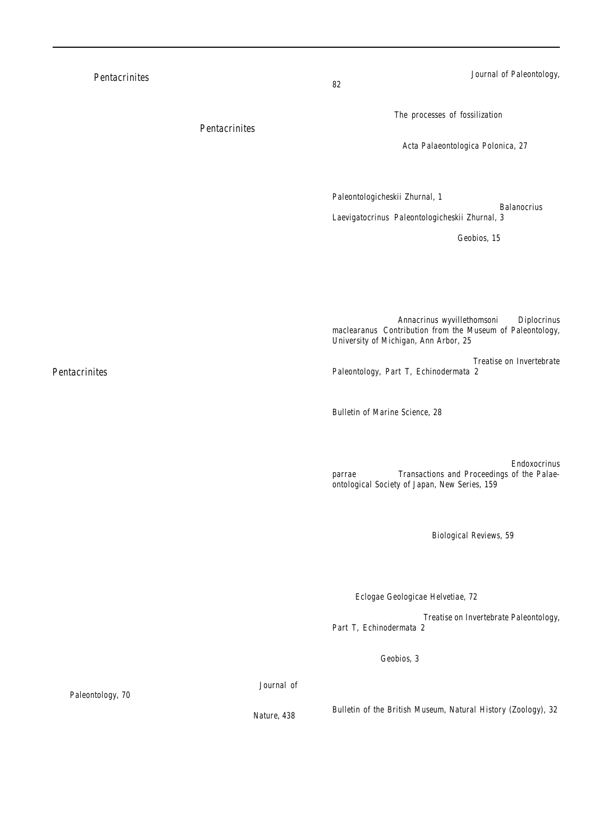### **Conclusions**

Examination of the microstructure of columnal latera in a can be grouped into one or other of two main stereom oriol **p** de (1884P80) **Detection** frages ou description one or other of two main stereom oriol **p** de (1884P80) **Detection** types. Most isocrinids have perforate stereom in which stereom lumina, typically elliptical, are arranged in an en echelon pattern. Most non-isocrinids examined, which<sup>Macurda</sup>, D. B. & Meyer, D. L. (1975). The microstructure of the includes millericrinids, cyrtocrinids and bourgueticrinids, have columnal latera composed of poorly ordered laby<sub>Macurda, D. B., & Roux, M. (1981).</sub> The skeletal morphology of the rinthic stereom. Labyrinthic stereom is interpreted as the plesiomorphic state for columnal latera, with en echelon perforate stereom as an apomorphy of the Isocrinina. A nacurda, D. B., Meyer, D. L. & Roux, M. (1978). The crinoid third stereom pattern, so far seen only in the Early Jurassic Pentacrinites, has straight to sinuous rows of lumina and appears to shows aspects of both labyrinthic and perforate stereom. It is interpreted here to have arisen independently of the perforate stereom seen in the Isocrinina and, pending examination of other representatives, is considered to be a iller, J. S. (1821). A natural history of the crinoidea, or lily-shaped autapomorphy of the Pentacrinitidae.

Variations in shape and spacing of the stereom lumina i $p_{ji}$ isocrinids may be signiÞcant for genus or family level discrimination within the Isocrinina and may prove of value in resolving phyogenetic relationships in poorly known taxa.

Acknowledgments I am particularly indebted to Hans Hess for Paul, C. R. C., & Smith, A. B. (1984). The early radiation and encouraging my interest in crinoids over many years. As a schoolboy in 1976 I wrote to Hans, on Dick JefferiesÖ recommendation, corPaul, C. R. C. (1998). Adequacy, completeness and the fossil record. cerning some Lower Jurassic ophiuroids and crinoids I had found. The ensuing correspondence Þred up my interest in this group, which continues to this day. I am grateful to Hans Hagdorn, Peter Medva Pisera, A., & Dzik, J. (1979). Tithonian crinoids from Rogoznik and Charles Messing for providing some of the material used in this study, and to the staff of the SEM units at QueenÕs University Belfast and at the Natural History Museum, London, for their assistance in Rasmussen, H. W. (1978). Evolution of articulate crinoids. In: the project. The original manuscript was improved signiÞcantly following comments from Hans Hagdorn and an anonymous reviewer.

#### References

- Ausich, W. I. (1996). Crinoid plate circlet homologiesournal of Paleontology, 70, 955Ð964.
- Clausen, S., & Smith, A. B. (2005). Palaeoanatomy and biological afÞnities of a Cambrian deuterostome (Stylopholia). 438, 351Ð354.
- <span id="page-10-0"></span>[1981\)](#page-11-0) have suggested a close phylogenetic relationshiplausen, S., & Smith, A. B. (2008). Stem structure and evolution in the earliest pelmatozoan echinodermisurnal of Paleontology,
	- Donovan, S. K. (1991). The taphonomy of echinoderms: calcareous multi-element skeletons in the marine environment. In: Donovan, S.K. (Ed.),The processes of fossilization (pp. 241Ð269). London: Belhaven Press.
	- Paleozoic crinoidsActa Palaeontologica Polonica, 27, 77Đ83.
- echelon perforate stereom seen widely in the isocrinids. Howarth, M. K. (1958). A monograph of the ammonites of the Liassic Family Amaltheidae in Britain (90 p, 10 pls). USA: Monograph of the Palaeontographical Society of London.
	- Klikushin, V. (1979a). Microstructural features of isocrinid stems. Paleontologicheskii Zhurnal, 1, 88Ð96.
	- Klikushin, V. (1979b). Sea lilies of the generaalanocrius and Laevigatocrinus. Paleontologicheskii Zhurnal, 3, 87Ð96.
- variety of fossil and extant crinoid taxa has found that most likushin, V. (1982). Taxonomic survey of fossil isocrinids with a list
	- Loriol, P. de (1884D89). Paletologie francüaise, ou description des fossils de la France, Ge 1, Animaux invertores. Terrains jurassique. 11, Crinoides, pt 2.
		- crinoid endoskeleton (22 p). Kansas: University of Kansas Paleontological Contributions 74.
		- isocrinid crinoidsAnnacrinus wyvillethomsoni and Diplocrinus maclearanus. Contribution from the Museum of Paleontology, University of Michigan, Ann Arbor, 25, 169Ð219.
		- stereom. In: R. C. Moore et al. (EdsTreatise on Invertebrate Paleontology, Part T, Echinodermata 2 (pp. t2l7Ðt232) Lawrence, Kansas: University of Kansas Press.
	- Meyer, D. L., Messing, C. G., & Macurda, D. B. (1978). Zoogeography of tropical western Atlantic Crinoidea (Echinodermata). Bulletin of Marine Science, 28, 412Ð441.
		- animals; with observations on the genera, Asteria, Euryale, Comatula & Marsupites (pp.150, 50 pls.). Bristol: Bryan & Co. T. (1990). Dimorphism and geographic distribution of two phenotypes of a west Atlantic stalked crinoEndoxocrinus parrae (Gervais).Transactions and Proceedings of the Palaeontological Society of Japan, New Series, 159, 603Ð606.
	- Oppel, A. (1856Ð58). Die Juraformation Englands, Frankreich und des su westlichen Deutschalnds. Verein fu aterlandische Naturkunde Wattemberg, Jahreshefte, 12, 121Đ556.
		- phylogeny of echinoderm Siological Reviews, 59, 443Đ481.
		- In: Donovan, S.K. & Paul, C.R.C. (Eds.),The adequacy of the
		- fossil record (pp. 1Ð22). Chichester: Wileys.
		- (Pieniny Klippen Belt, Poland) and their evolutionary relationships.Eclogae Geologicae Helvetiae, 72, 805Ð849.
		- R. C. Moore et al. (Eds.),Treatise on Invertebrate Paleontology,
		- Part T, Echinodermata 2 (pp. t302Ðt316). Lawrence, Kansas: University of Kansas Press.
	- Roux, M. (1970). Introduction a lÕetude des microstructures des tiges de crinodes. Geobios, 3, 79Đ98.
	- Roux, M. (1975). Microstructural analysis of the crinoid stem. (pp. 7). Lawrence: University of Kansas Paleontological Contributions 75.
	- Roux, M. (1977). The stalk-joints of Recent Isocrinidae (Crinoidea). Bulletin of the British Museum, Natural History (Zoology), 32, 45Ð64.